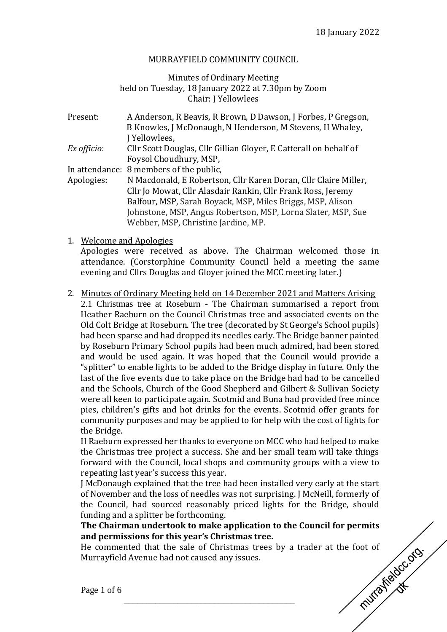#### MURRAYFIELD COMMUNITY COUNCIL

#### Minutes of Ordinary Meeting held on Tuesday, 18 January 2022 at 7.30pm by Zoom Chair: J Yellowlees

| Present:    | A Anderson, R Beavis, R Brown, D Dawson, J Forbes, P Gregson,     |
|-------------|-------------------------------------------------------------------|
|             | B Knowles, J McDonaugh, N Henderson, M Stevens, H Whaley,         |
|             | J Yellowlees,                                                     |
| Ex officio: | Cllr Scott Douglas, Cllr Gillian Gloyer, E Catterall on behalf of |
|             | Foysol Choudhury, MSP,                                            |
|             | In attendance: 8 members of the public,                           |
| Apologies:  | N Macdonald, E Robertson, Cllr Karen Doran, Cllr Claire Miller,   |
|             | Cllr Jo Mowat, Cllr Alasdair Rankin, Cllr Frank Ross, Jeremy      |
|             | Balfour, MSP, Sarah Boyack, MSP, Miles Briggs, MSP, Alison        |
|             | Johnstone, MSP, Angus Robertson, MSP, Lorna Slater, MSP, Sue      |
|             | Webber, MSP, Christine Jardine, MP.                               |

1. Welcome and Apologies

Apologies were received as above. The Chairman welcomed those in attendance. (Corstorphine Community Council held a meeting the same evening and Cllrs Douglas and Gloyer joined the MCC meeting later.)

2. Minutes of Ordinary Meeting held on 14 December 2021 and Matters Arising 2.1 Christmas tree at Roseburn - The Chairman summarised a report from Heather Raeburn on the Council Christmas tree and associated events on the Old Colt Bridge at Roseburn. The tree (decorated by St George's School pupils) had been sparse and had dropped its needles early. The Bridge banner painted by Roseburn Primary School pupils had been much admired, had been stored and would be used again. It was hoped that the Council would provide a "splitter" to enable lights to be added to the Bridge display in future. Only the last of the five events due to take place on the Bridge had had to be cancelled and the Schools, Church of the Good Shepherd and Gilbert & Sullivan Society were all keen to participate again. Scotmid and Buna had provided free mince pies, children's gifts and hot drinks for the events. Scotmid offer grants for community purposes and may be applied to for help with the cost of lights for the Bridge.

H Raeburn expressed her thanks to everyone on MCC who had helped to make the Christmas tree project a success. She and her small team will take things forward with the Council, local shops and community groups with a view to repeating last year's success this year.

J McDonaugh explained that the tree had been installed very early at the start of November and the loss of needles was not surprising. J McNeill, formerly of the Council, had sourced reasonably priced lights for the Bridge, should funding and a splitter be forthcoming.

# **and permissions for this year's Christmas tree.**

The Chairman undertook to make application to the Council for permits<br>and permissions for this year's Christmas tree.<br>He commented that the sale of Christmas trees by a trader at the foot of<br>Murrayfield Avenue had not caus He commented that the sale of Christmas trees by a trader at the foot of Murrayfield Avenue had not caused any issues.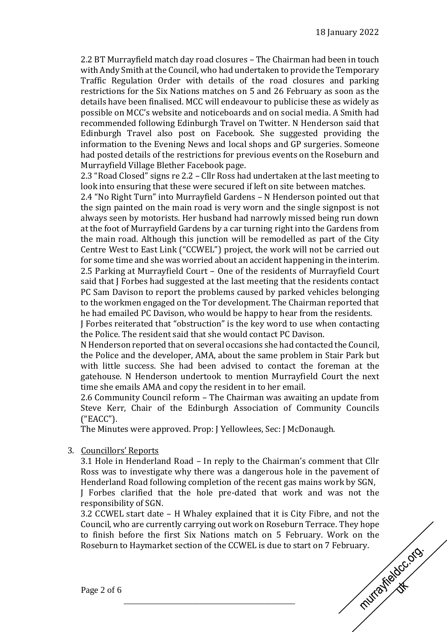2.2 BT Murrayfield match day road closures – The Chairman had been in touch with Andy Smith at the Council, who had undertaken to provide the Temporary Traffic Regulation Order with details of the road closures and parking restrictions for the Six Nations matches on 5 and 26 February as soon as the details have been finalised. MCC will endeavour to publicise these as widely as possible on MCC's website and noticeboards and on social media. A Smith had recommended following Edinburgh Travel on Twitter. N Henderson said that Edinburgh Travel also post on Facebook. She suggested providing the information to the Evening News and local shops and GP surgeries. Someone had posted details of the restrictions for previous events on the Roseburn and Murrayfield Village Blether Facebook page.

2.3 "Road Closed" signs re 2.2 – Cllr Ross had undertaken at the last meeting to look into ensuring that these were secured if left on site between matches.

2.4 "No Right Turn" into Murrayfield Gardens – N Henderson pointed out that the sign painted on the main road is very worn and the single signpost is not always seen by motorists. Her husband had narrowly missed being run down at the foot of Murrayfield Gardens by a car turning right into the Gardens from the main road. Although this junction will be remodelled as part of the City Centre West to East Link ("CCWEL") project, the work will not be carried out for some time and she was worried about an accident happening in the interim. 2.5 Parking at Murrayfield Court – One of the residents of Murrayfield Court said that J Forbes had suggested at the last meeting that the residents contact PC Sam Davison to report the problems caused by parked vehicles belonging to the workmen engaged on the Tor development. The Chairman reported that he had emailed PC Davison, who would be happy to hear from the residents.

J Forbes reiterated that "obstruction" is the key word to use when contacting the Police. The resident said that she would contact PC Davison.

N Henderson reported that on several occasions she had contacted the Council, the Police and the developer, AMA, about the same problem in Stair Park but with little success. She had been advised to contact the foreman at the gatehouse. N Henderson undertook to mention Murrayfield Court the next time she emails AMA and copy the resident in to her email.

2.6 Community Council reform – The Chairman was awaiting an update from Steve Kerr, Chair of the Edinburgh Association of Community Councils ("EACC").

The Minutes were approved. Prop: J Yellowlees, Sec: J McDonaugh.

\_\_\_\_\_\_\_\_\_\_\_\_\_\_\_\_\_\_\_\_\_\_\_\_\_\_\_\_\_\_\_\_\_\_\_\_\_\_

## 3. Councillors' Reports

3.1 Hole in Henderland Road – In reply to the Chairman's comment that Cllr Ross was to investigate why there was a dangerous hole in the pavement of Henderland Road following completion of the recent gas mains work by SGN,

J Forbes clarified that the hole pre-dated that work and was not the responsibility of SGN.

3.2 CCWEL start date – H Whaley explained that it is City Fibre, and not the Council, who are currently carrying out work on Roseburn Terrace. They hope to finish before the first Six Nations match on 5 February. Work on the<br>Roseburn to Haymarket section of the CCWEL is due to start on 7 February.<br>Page 2 of 6 Roseburn to Haymarket section of the CCWEL is due to start on 7 February.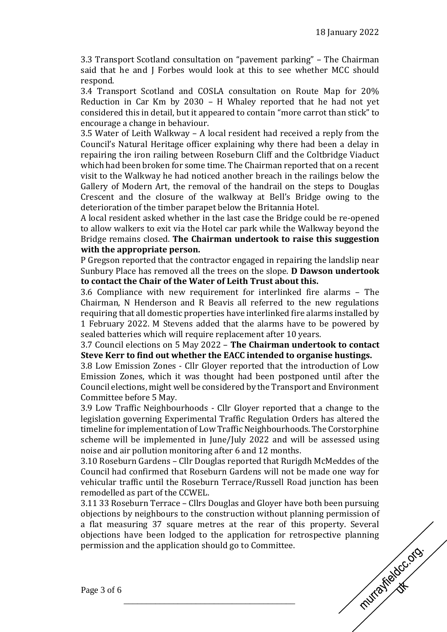3.3 Transport Scotland consultation on "pavement parking" – The Chairman said that he and J Forbes would look at this to see whether MCC should respond.

3.4 Transport Scotland and COSLA consultation on Route Map for 20% Reduction in Car Km by 2030 – H Whaley reported that he had not yet considered this in detail, but it appeared to contain "more carrot than stick" to encourage a change in behaviour.

3.5 Water of Leith Walkway – A local resident had received a reply from the Council's Natural Heritage officer explaining why there had been a delay in repairing the iron railing between Roseburn Cliff and the Coltbridge Viaduct which had been broken for some time. The Chairman reported that on a recent visit to the Walkway he had noticed another breach in the railings below the Gallery of Modern Art, the removal of the handrail on the steps to Douglas Crescent and the closure of the walkway at Bell's Bridge owing to the deterioration of the timber parapet below the Britannia Hotel.

A local resident asked whether in the last case the Bridge could be re-opened to allow walkers to exit via the Hotel car park while the Walkway beyond the Bridge remains closed. **The Chairman undertook to raise this suggestion with the appropriate person.**

P Gregson reported that the contractor engaged in repairing the landslip near Sunbury Place has removed all the trees on the slope. **D Dawson undertook to contact the Chair of the Water of Leith Trust about this.**

3.6 Compliance with new requirement for interlinked fire alarms – The Chairman, N Henderson and R Beavis all referred to the new regulations requiring that all domestic properties have interlinked fire alarms installed by 1 February 2022. M Stevens added that the alarms have to be powered by sealed batteries which will require replacement after 10 years.

3.7 Council elections on 5 May 2022 – **The Chairman undertook to contact Steve Kerr to find out whether the EACC intended to organise hustings.**

3.8 Low Emission Zones - Cllr Gloyer reported that the introduction of Low Emission Zones, which it was thought had been postponed until after the Council elections, might well be considered by the Transport and Environment Committee before 5 May.

3.9 Low Traffic Neighbourhoods - Cllr Gloyer reported that a change to the legislation governing Experimental Traffic Regulation Orders has altered the timeline for implementation of Low Traffic Neighbourhoods. The Corstorphine scheme will be implemented in June/July 2022 and will be assessed using noise and air pollution monitoring after 6 and 12 months.

3.10 Roseburn Gardens – Cllr Douglas reported that Rurigdh McMeddes of the Council had confirmed that Roseburn Gardens will not be made one way for vehicular traffic until the Roseburn Terrace/Russell Road junction has been remodelled as part of the CCWEL.

3.11 33 Roseburn Terrace – Cllrs Douglas and Gloyer have both been pursuing objections by neighbours to the construction without planning permission of a flat measuring 37 square metres at the rear of this property. Several objections have been lodged to the application for retrospective planning<br>permission and the application should go to Committee.<br>Page 3 of 6 permission and the application should go to Committee.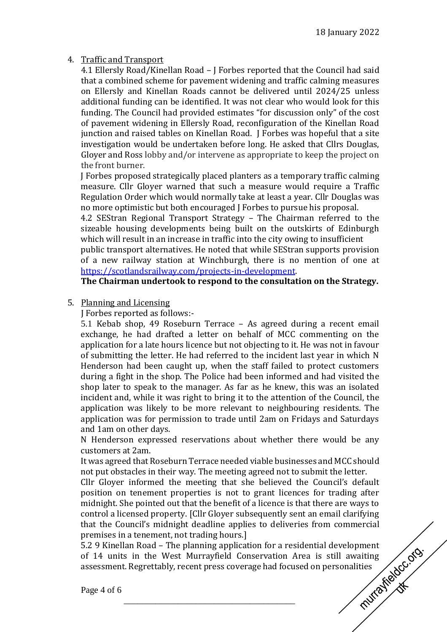## 4. Traffic and Transport

4.1 Ellersly Road/Kinellan Road – J Forbes reported that the Council had said that a combined scheme for pavement widening and traffic calming measures on Ellersly and Kinellan Roads cannot be delivered until 2024/25 unless additional funding can be identified. It was not clear who would look for this funding. The Council had provided estimates "for discussion only" of the cost of pavement widening in Ellersly Road, reconfiguration of the Kinellan Road junction and raised tables on Kinellan Road. J Forbes was hopeful that a site investigation would be undertaken before long. He asked that Cllrs Douglas, Gloyer and Ross lobby and/or intervene as appropriate to keep the project on the front burner.

J Forbes proposed strategically placed planters as a temporary traffic calming measure. Cllr Gloyer warned that such a measure would require a Traffic Regulation Order which would normally take at least a year. Cllr Douglas was no more optimistic but both encouraged J Forbes to pursue his proposal.

4.2 SEStran Regional Transport Strategy – The Chairman referred to the sizeable housing developments being built on the outskirts of Edinburgh which will result in an increase in traffic into the city owing to insufficient

public transport alternatives. He noted that while SEStran supports provision of a new railway station at Winchburgh, there is no mention of one at [https://scotlandsrailway.com/projects-in-development.](https://scotlandsrailway.com/projects-in-development)

**The Chairman undertook to respond to the consultation on the Strategy.**

5. Planning and Licensing

J Forbes reported as follows:-

5.1 Kebab shop, 49 Roseburn Terrace – As agreed during a recent email exchange, he had drafted a letter on behalf of MCC commenting on the application for a late hours licence but not objecting to it. He was not in favour of submitting the letter. He had referred to the incident last year in which N Henderson had been caught up, when the staff failed to protect customers during a fight in the shop. The Police had been informed and had visited the shop later to speak to the manager. As far as he knew, this was an isolated incident and, while it was right to bring it to the attention of the Council, the application was likely to be more relevant to neighbouring residents. The application was for permission to trade until 2am on Fridays and Saturdays and 1am on other days.

N Henderson expressed reservations about whether there would be any customers at 2am.

It was agreed that Roseburn Terrace needed viable businesses and MCC should not put obstacles in their way. The meeting agreed not to submit the letter.

Cllr Gloyer informed the meeting that she believed the Council's default position on tenement properties is not to grant licences for trading after midnight. She pointed out that the benefit of a licence is that there are ways to control a licensed property. [Cllr Gloyer subsequently sent an email clarifying that the Council's midnight deadline applies to deliveries from commercial premises in a tenement, not trading hours.]

5.2 9 Kinellan Road – The planning application for a residential development<br>of 14 units in the West Murrayfield Conservation Area is still awaiting<br>assessment. Regrettably, recent press coverage had focused on personalit of 14 units in the West Murrayfield Conservation Area is still awaiting assessment. Regrettably, recent press coverage had focused on personalities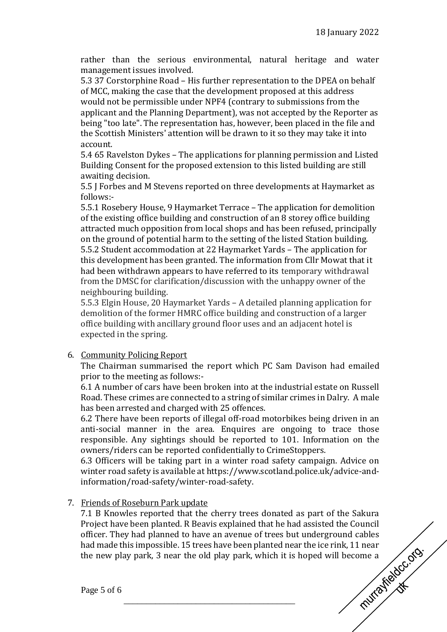rather than the serious environmental, natural heritage and water management issues involved.

5.3 37 Corstorphine Road – His further representation to the DPEA on behalf of MCC, making the case that the development proposed at this address would not be permissible under NPF4 (contrary to submissions from the applicant and the Planning Department), was not accepted by the Reporter as being "too late". The representation has, however, been placed in the file and the Scottish Ministers' attention will be drawn to it so they may take it into account.

5.4 65 Ravelston Dykes – The applications for planning permission and Listed Building Consent for the proposed extension to this listed building are still awaiting decision.

5.5 J Forbes and M Stevens reported on three developments at Haymarket as follows:-

5.5.1 Rosebery House, 9 Haymarket Terrace – The application for demolition of the existing office building and construction of an 8 storey office building attracted much opposition from local shops and has been refused, principally on the ground of potential harm to the setting of the listed Station building. 5.5.2 Student accommodation at 22 Haymarket Yards – The application for this development has been granted. The information from Cllr Mowat that it had been withdrawn appears to have referred to its temporary withdrawal from the DMSC for clarification/discussion with the unhappy owner of the neighbouring building.

5.5.3 Elgin House, 20 Haymarket Yards – A detailed planning application for demolition of the former HMRC office building and construction of a larger office building with ancillary ground floor uses and an adjacent hotel is expected in the spring.

## 6. Community Policing Report

The Chairman summarised the report which PC Sam Davison had emailed prior to the meeting as follows:-

6.1 A number of cars have been broken into at the industrial estate on Russell Road. These crimes are connected to a string of similar crimes in Dalry. A male has been arrested and charged with 25 offences.

6.2 There have been reports of illegal off-road motorbikes being driven in an anti-social manner in the area. Enquires are ongoing to trace those responsible. Any sightings should be reported to 101. Information on the owners/riders can be reported confidentially to CrimeStoppers.

6.3 Officers will be taking part in a winter road safety campaign. Advice on winter road safety is available at https://www.scotland.police.uk/advice-andinformation/road-safety/winter-road-safety.

## 7. Friends of Roseburn Park update

7.1 B Knowles reported that the cherry trees donated as part of the Sakura Project have been planted. R Beavis explained that he had assisted the Council officer. They had planned to have an avenue of trees but underground cables<br>had made this impossible. 15 trees have been planted near the ice rink, 11 near<br>the new play park, 3 near the old play park, which it is hoped wi had made this impossible. 15 trees have been planted near the ice rink, 11 near the new play park, 3 near the old play park, which it is hoped will become a